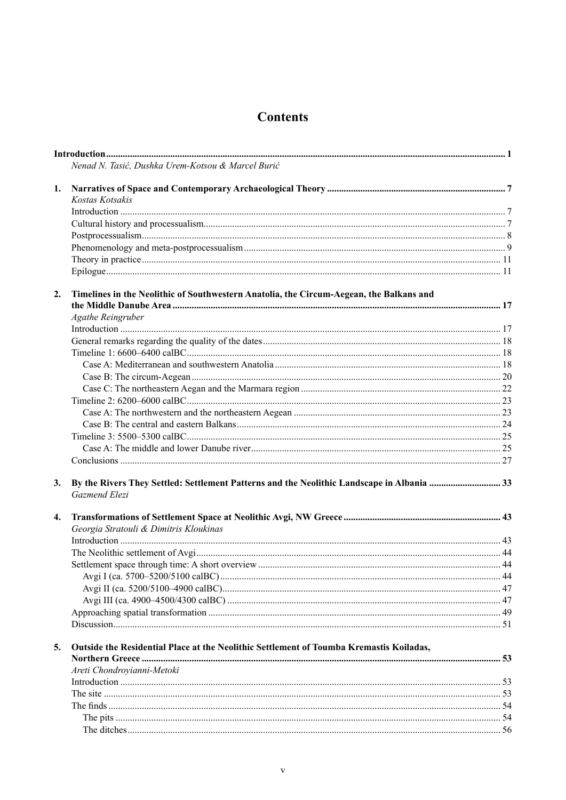## **Contents**

|    | Nenad N. Tasić, Dushka Urem-Kotsou & Marcel Burić                                                          |  |
|----|------------------------------------------------------------------------------------------------------------|--|
| 1. |                                                                                                            |  |
|    | Kostas Kotsakis                                                                                            |  |
|    |                                                                                                            |  |
|    |                                                                                                            |  |
|    |                                                                                                            |  |
|    |                                                                                                            |  |
|    |                                                                                                            |  |
|    |                                                                                                            |  |
| 2. | Timelines in the Neolithic of Southwestern Anatolia, the Circum-Aegean, the Balkans and                    |  |
|    |                                                                                                            |  |
|    | <b>Agathe Reingruber</b>                                                                                   |  |
|    |                                                                                                            |  |
|    |                                                                                                            |  |
|    |                                                                                                            |  |
|    |                                                                                                            |  |
|    |                                                                                                            |  |
|    |                                                                                                            |  |
|    |                                                                                                            |  |
|    |                                                                                                            |  |
|    |                                                                                                            |  |
|    |                                                                                                            |  |
|    |                                                                                                            |  |
|    |                                                                                                            |  |
| 3. | By the Rivers They Settled: Settlement Patterns and the Neolithic Landscape in Albania 33<br>Gazmend Elezi |  |
| 4. |                                                                                                            |  |
|    | Georgia Stratouli & Dimitris Kloukinas                                                                     |  |
|    |                                                                                                            |  |
|    |                                                                                                            |  |
|    |                                                                                                            |  |
|    |                                                                                                            |  |
|    |                                                                                                            |  |
|    |                                                                                                            |  |
|    |                                                                                                            |  |
|    |                                                                                                            |  |
| 5. | Outside the Residential Place at the Neolithic Settlement of Toumba Kremastis Koiladas,                    |  |
|    |                                                                                                            |  |
|    | Areti Chondrovianni-Metoki                                                                                 |  |
|    |                                                                                                            |  |
|    |                                                                                                            |  |
|    |                                                                                                            |  |
|    |                                                                                                            |  |
|    |                                                                                                            |  |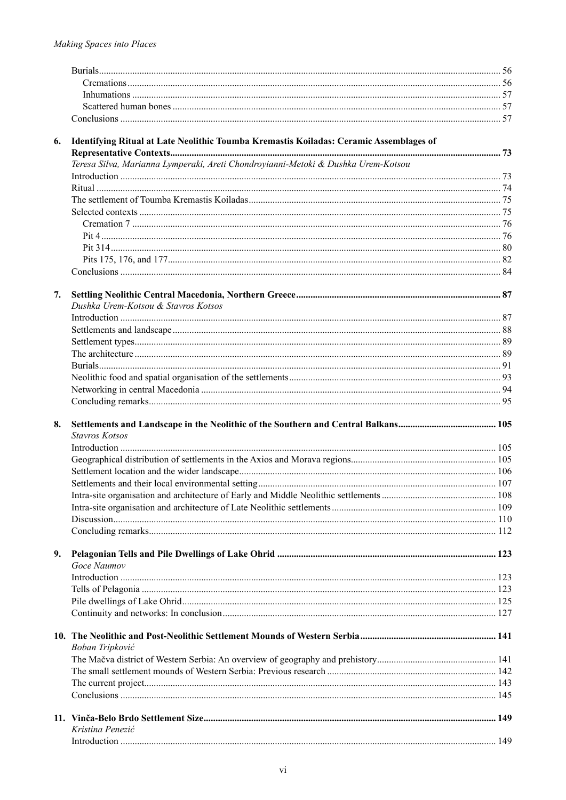| 6. | Identifying Ritual at Late Neolithic Toumba Kremastis Koiladas: Ceramic Assemblages of |  |
|----|----------------------------------------------------------------------------------------|--|
|    |                                                                                        |  |
|    | Teresa Silva, Marianna Lymperaki, Areti Chondrovianni-Metoki & Dushka Urem-Kotsou      |  |
|    |                                                                                        |  |
|    |                                                                                        |  |
|    |                                                                                        |  |
|    |                                                                                        |  |
|    |                                                                                        |  |
|    |                                                                                        |  |
|    |                                                                                        |  |
|    |                                                                                        |  |
|    |                                                                                        |  |
| 7. |                                                                                        |  |
|    | Dushka Urem-Kotsou & Stavros Kotsos                                                    |  |
|    |                                                                                        |  |
|    |                                                                                        |  |
|    |                                                                                        |  |
|    |                                                                                        |  |
|    |                                                                                        |  |
|    |                                                                                        |  |
|    |                                                                                        |  |
|    |                                                                                        |  |
| 8. |                                                                                        |  |
|    | <b>Stavros Kotsos</b>                                                                  |  |
|    |                                                                                        |  |
|    |                                                                                        |  |
|    |                                                                                        |  |
|    |                                                                                        |  |
|    |                                                                                        |  |
|    |                                                                                        |  |
|    |                                                                                        |  |
|    |                                                                                        |  |
| 9. |                                                                                        |  |
|    | Goce Naumov                                                                            |  |
|    |                                                                                        |  |
|    |                                                                                        |  |
|    |                                                                                        |  |
|    |                                                                                        |  |
|    |                                                                                        |  |
|    | Boban Tripković                                                                        |  |
|    |                                                                                        |  |
|    |                                                                                        |  |
|    |                                                                                        |  |
|    |                                                                                        |  |
|    |                                                                                        |  |
|    | Kristina Penezić                                                                       |  |
|    |                                                                                        |  |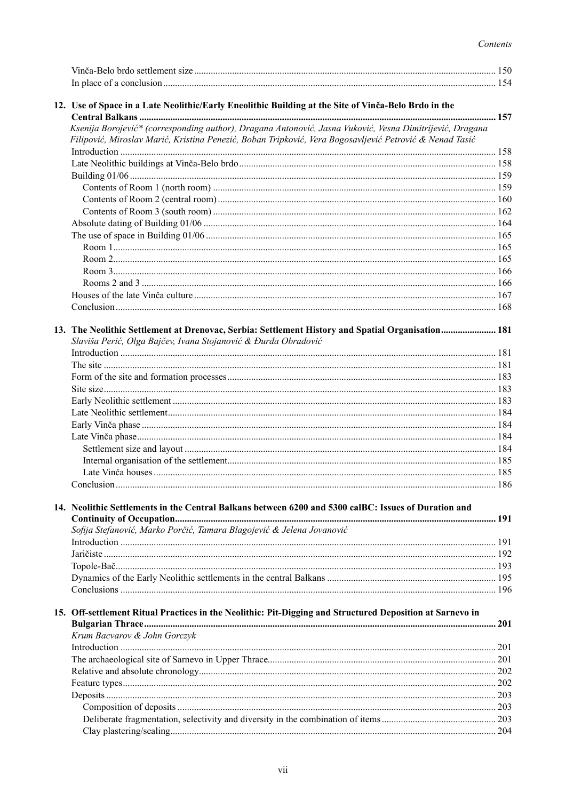## Contents

| 12. Use of Space in a Late Neolithic/Early Eneolithic Building at the Site of Vinča-Belo Brdo in the                                                                                                                |     |
|---------------------------------------------------------------------------------------------------------------------------------------------------------------------------------------------------------------------|-----|
| Ksenija Borojević* (corresponding author), Dragana Antonović, Jasna Vuković, Vesna Dimitrijević, Dragana<br>Filipović, Miroslav Marić, Kristina Penezić, Boban Tripković, Vera Bogosavljević Petrović & Nenad Tasić |     |
|                                                                                                                                                                                                                     |     |
|                                                                                                                                                                                                                     |     |
|                                                                                                                                                                                                                     |     |
|                                                                                                                                                                                                                     |     |
|                                                                                                                                                                                                                     |     |
|                                                                                                                                                                                                                     |     |
|                                                                                                                                                                                                                     |     |
|                                                                                                                                                                                                                     |     |
|                                                                                                                                                                                                                     |     |
|                                                                                                                                                                                                                     |     |
|                                                                                                                                                                                                                     |     |
|                                                                                                                                                                                                                     |     |
|                                                                                                                                                                                                                     |     |
| 13. The Neolithic Settlement at Drenovac, Serbia: Settlement History and Spatial Organisation 181                                                                                                                   |     |
| Slaviša Perić, Olga Bajčev, Ivana Stojanović & Đurđa Obradović                                                                                                                                                      |     |
|                                                                                                                                                                                                                     |     |
|                                                                                                                                                                                                                     |     |
|                                                                                                                                                                                                                     |     |
|                                                                                                                                                                                                                     |     |
|                                                                                                                                                                                                                     |     |
|                                                                                                                                                                                                                     |     |
|                                                                                                                                                                                                                     |     |
|                                                                                                                                                                                                                     |     |
|                                                                                                                                                                                                                     |     |
|                                                                                                                                                                                                                     |     |
|                                                                                                                                                                                                                     |     |
| 14. Neolithic Settlements in the Central Balkans between 6200 and 5300 calBC: Issues of Duration and                                                                                                                |     |
|                                                                                                                                                                                                                     |     |
| Sofija Stefanović, Marko Porčić, Tamara Blagojević & Jelena Jovanović                                                                                                                                               |     |
|                                                                                                                                                                                                                     |     |
|                                                                                                                                                                                                                     |     |
|                                                                                                                                                                                                                     |     |
|                                                                                                                                                                                                                     |     |
|                                                                                                                                                                                                                     |     |
| 15. Off-settlement Ritual Practices in the Neolithic: Pit-Digging and Structured Deposition at Sarnevo in                                                                                                           |     |
| Krum Bacvarov & John Gorczyk                                                                                                                                                                                        |     |
|                                                                                                                                                                                                                     |     |
|                                                                                                                                                                                                                     |     |
|                                                                                                                                                                                                                     |     |
|                                                                                                                                                                                                                     |     |
|                                                                                                                                                                                                                     |     |
|                                                                                                                                                                                                                     |     |
|                                                                                                                                                                                                                     | 204 |
|                                                                                                                                                                                                                     |     |